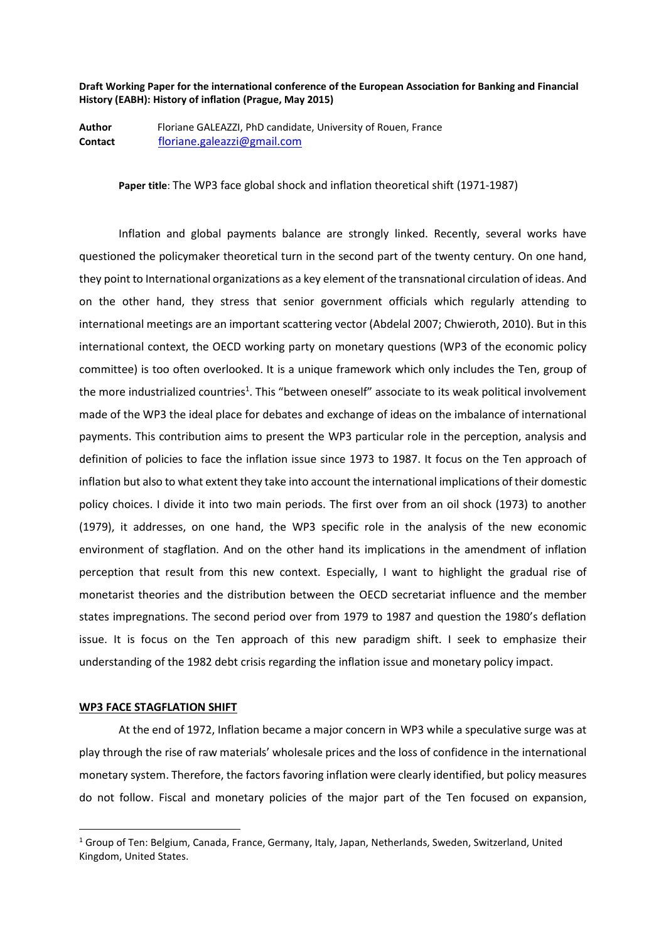**Draft Working Paper for the international conference of the European Association for Banking and Financial History (EABH): History of inflation (Prague, May 2015)**

**Author** Floriane GALEAZZI, PhD candidate, University of Rouen, France **Contact** [floriane.galeazzi@gmail.com](mailto:floriane.galeazzi@gmail.com)

**Paper title**: The WP3 face global shock and inflation theoretical shift (1971-1987)

Inflation and global payments balance are strongly linked. Recently, several works have questioned the policymaker theoretical turn in the second part of the twenty century. On one hand, they point to International organizations as a key element of the transnational circulation of ideas. And on the other hand, they stress that senior government officials which regularly attending to international meetings are an important scattering vector (Abdelal 2007; Chwieroth, 2010). But in this international context, the OECD working party on monetary questions (WP3 of the economic policy committee) is too often overlooked. It is a unique framework which only includes the Ten, group of the more industrialized countries<sup>1</sup>. This "between oneself" associate to its weak political involvement made of the WP3 the ideal place for debates and exchange of ideas on the imbalance of international payments. This contribution aims to present the WP3 particular role in the perception, analysis and definition of policies to face the inflation issue since 1973 to 1987. It focus on the Ten approach of inflation but also to what extent they take into account the international implications of their domestic policy choices. I divide it into two main periods. The first over from an oil shock (1973) to another (1979), it addresses, on one hand, the WP3 specific role in the analysis of the new economic environment of stagflation. And on the other hand its implications in the amendment of inflation perception that result from this new context. Especially, I want to highlight the gradual rise of monetarist theories and the distribution between the OECD secretariat influence and the member states impregnations. The second period over from 1979 to 1987 and question the 1980's deflation issue. It is focus on the Ten approach of this new paradigm shift. I seek to emphasize their understanding of the 1982 debt crisis regarding the inflation issue and monetary policy impact.

## **WP3 FACE STAGFLATION SHIFT**

1

At the end of 1972, Inflation became a major concern in WP3 while a speculative surge was at play through the rise of raw materials' wholesale prices and the loss of confidence in the international monetary system. Therefore, the factors favoring inflation were clearly identified, but policy measures do not follow. Fiscal and monetary policies of the major part of the Ten focused on expansion,

<sup>1</sup> Group of Ten: Belgium, Canada, France, Germany, Italy, Japan, Netherlands, Sweden, Switzerland, United Kingdom, United States.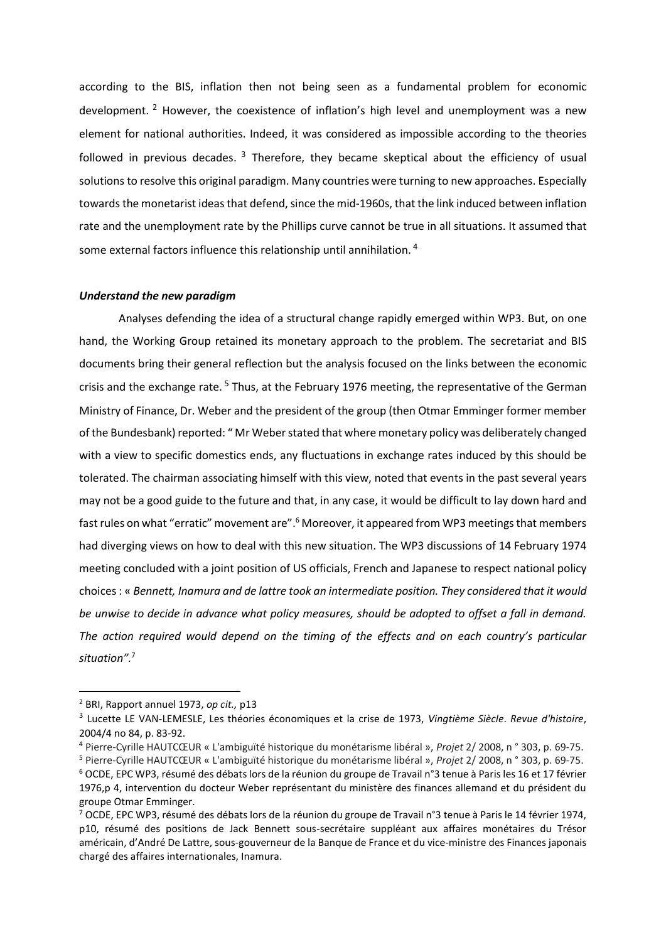according to the BIS, inflation then not being seen as a fundamental problem for economic development. <sup>2</sup> However, the coexistence of inflation's high level and unemployment was a new element for national authorities. Indeed, it was considered as impossible according to the theories followed in previous decades. <sup>3</sup> Therefore, they became skeptical about the efficiency of usual solutions to resolve this original paradigm. Many countries were turning to new approaches. Especially towards the monetarist ideas that defend, since the mid-1960s, that the link induced between inflation rate and the unemployment rate by the Phillips curve cannot be true in all situations. It assumed that some external factors influence this relationship until annihilation.<sup>4</sup>

# *Understand the new paradigm*

Analyses defending the idea of a structural change rapidly emerged within WP3. But, on one hand, the Working Group retained its monetary approach to the problem. The secretariat and BIS documents bring their general reflection but the analysis focused on the links between the economic crisis and the exchange rate. <sup>5</sup> Thus, at the February 1976 meeting, the representative of the German Ministry of Finance, Dr. Weber and the president of the group (then Otmar Emminger former member of the Bundesbank) reported: " Mr Weber stated that where monetary policy was deliberately changed with a view to specific domestics ends, any fluctuations in exchange rates induced by this should be tolerated. The chairman associating himself with this view, noted that events in the past several years may not be a good guide to the future and that, in any case, it would be difficult to lay down hard and fast rules on what "erratic" movement are".<sup>6</sup> Moreover, it appeared from WP3 meetings that members had diverging views on how to deal with this new situation. The WP3 discussions of 14 February 1974 meeting concluded with a joint position of US officials, French and Japanese to respect national policy choices : « *Bennett, Inamura and de lattre took an intermediate position. They considered that it would be unwise to decide in advance what policy measures, should be adopted to offset a fall in demand. The action required would depend on the timing of the effects and on each country's particular situation".*<sup>7</sup>

 $\overline{a}$ 

<sup>2</sup> BRI, Rapport annuel 1973, *op cit.,* p13

<sup>3</sup> Lucette LE VAN-LEMESLE, Les théories économiques et la crise de 1973, *Vingtième Siècle*. *Revue d'histoire*, 2004/4 no 84, p. 83-92.

<sup>4</sup> Pierre-Cyrille HAUTCŒUR « L'ambiguïté historique du monétarisme libéral », *Projet* 2/ 2008, n ° 303, p. 69-75.

<sup>5</sup> Pierre-Cyrille HAUTCŒUR « L'ambiguïté historique du monétarisme libéral », *Projet* 2/ 2008, n ° 303, p. 69-75. <sup>6</sup> OCDE, EPC WP3, résumé des débats lors de la réunion du groupe de Travail n°3 tenue à Paris les 16 et 17 février 1976,p 4, intervention du docteur Weber représentant du ministère des finances allemand et du président du groupe Otmar Emminger.

<sup>7</sup> OCDE, EPC WP3, résumé des débats lors de la réunion du groupe de Travail n°3 tenue à Paris le 14 février 1974, p10, résumé des positions de Jack Bennett sous-secrétaire suppléant aux affaires monétaires du Trésor américain, d'André De Lattre, sous-gouverneur de la Banque de France et du vice-ministre des Finances japonais chargé des affaires internationales, Inamura.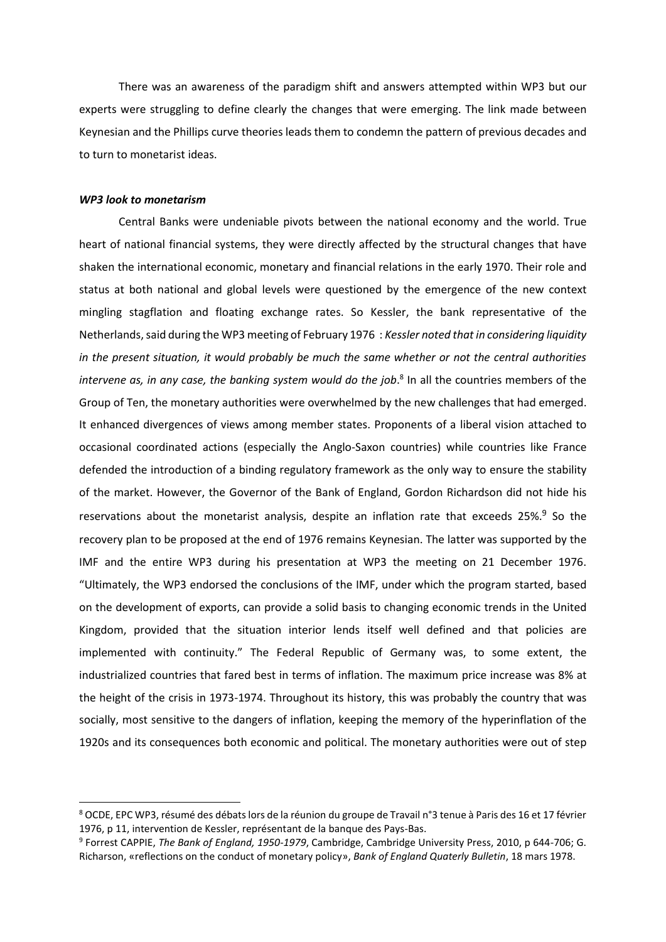There was an awareness of the paradigm shift and answers attempted within WP3 but our experts were struggling to define clearly the changes that were emerging. The link made between Keynesian and the Phillips curve theories leads them to condemn the pattern of previous decades and to turn to monetarist ideas.

#### *WP3 look to monetarism*

1

Central Banks were undeniable pivots between the national economy and the world. True heart of national financial systems, they were directly affected by the structural changes that have shaken the international economic, monetary and financial relations in the early 1970. Their role and status at both national and global levels were questioned by the emergence of the new context mingling stagflation and floating exchange rates. So Kessler, the bank representative of the Netherlands,said during the WP3 meeting of February 1976 : *Kessler noted that in considering liquidity in the present situation, it would probably be much the same whether or not the central authorities intervene as, in any case, the banking system would do the job*. 8 In all the countries members of the Group of Ten, the monetary authorities were overwhelmed by the new challenges that had emerged. It enhanced divergences of views among member states. Proponents of a liberal vision attached to occasional coordinated actions (especially the Anglo-Saxon countries) while countries like France defended the introduction of a binding regulatory framework as the only way to ensure the stability of the market. However, the Governor of the Bank of England, Gordon Richardson did not hide his reservations about the monetarist analysis, despite an inflation rate that exceeds 25%.<sup>9</sup> So the recovery plan to be proposed at the end of 1976 remains Keynesian. The latter was supported by the IMF and the entire WP3 during his presentation at WP3 the meeting on 21 December 1976. "Ultimately, the WP3 endorsed the conclusions of the IMF, under which the program started, based on the development of exports, can provide a solid basis to changing economic trends in the United Kingdom, provided that the situation interior lends itself well defined and that policies are implemented with continuity." The Federal Republic of Germany was, to some extent, the industrialized countries that fared best in terms of inflation. The maximum price increase was 8% at the height of the crisis in 1973-1974. Throughout its history, this was probably the country that was socially, most sensitive to the dangers of inflation, keeping the memory of the hyperinflation of the 1920s and its consequences both economic and political. The monetary authorities were out of step

<sup>8</sup> OCDE, EPC WP3, résumé des débats lors de la réunion du groupe de Travail n°3 tenue à Paris des 16 et 17 février 1976, p 11, intervention de Kessler, représentant de la banque des Pays-Bas.

<sup>9</sup> Forrest CAPPIE, *The Bank of England, 1950-1979*, Cambridge, Cambridge University Press, 2010, p 644-706; G. Richarson, «reflections on the conduct of monetary policy», *Bank of England Quaterly Bulletin*, 18 mars 1978.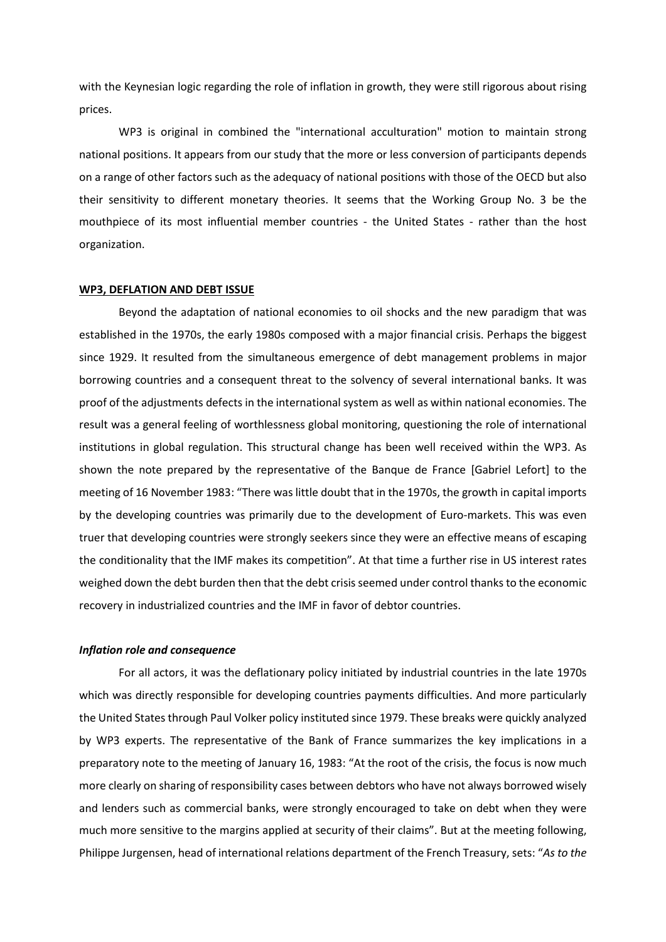with the Keynesian logic regarding the role of inflation in growth, they were still rigorous about rising prices.

WP3 is original in combined the "international acculturation" motion to maintain strong national positions. It appears from our study that the more or less conversion of participants depends on a range of other factors such as the adequacy of national positions with those of the OECD but also their sensitivity to different monetary theories. It seems that the Working Group No. 3 be the mouthpiece of its most influential member countries - the United States - rather than the host organization.

## **WP3, DEFLATION AND DEBT ISSUE**

Beyond the adaptation of national economies to oil shocks and the new paradigm that was established in the 1970s, the early 1980s composed with a major financial crisis. Perhaps the biggest since 1929. It resulted from the simultaneous emergence of debt management problems in major borrowing countries and a consequent threat to the solvency of several international banks. It was proof of the adjustments defects in the international system as well as within national economies. The result was a general feeling of worthlessness global monitoring, questioning the role of international institutions in global regulation. This structural change has been well received within the WP3. As shown the note prepared by the representative of the Banque de France [Gabriel Lefort] to the meeting of 16 November 1983: "There was little doubt that in the 1970s, the growth in capital imports by the developing countries was primarily due to the development of Euro-markets. This was even truer that developing countries were strongly seekers since they were an effective means of escaping the conditionality that the IMF makes its competition". At that time a further rise in US interest rates weighed down the debt burden then that the debt crisis seemed under control thanks to the economic recovery in industrialized countries and the IMF in favor of debtor countries.

#### *Inflation role and consequence*

For all actors, it was the deflationary policy initiated by industrial countries in the late 1970s which was directly responsible for developing countries payments difficulties. And more particularly the United States through Paul Volker policy instituted since 1979. These breaks were quickly analyzed by WP3 experts. The representative of the Bank of France summarizes the key implications in a preparatory note to the meeting of January 16, 1983: "At the root of the crisis, the focus is now much more clearly on sharing of responsibility cases between debtors who have not always borrowed wisely and lenders such as commercial banks, were strongly encouraged to take on debt when they were much more sensitive to the margins applied at security of their claims". But at the meeting following, Philippe Jurgensen, head of international relations department of the French Treasury, sets: "*As to the*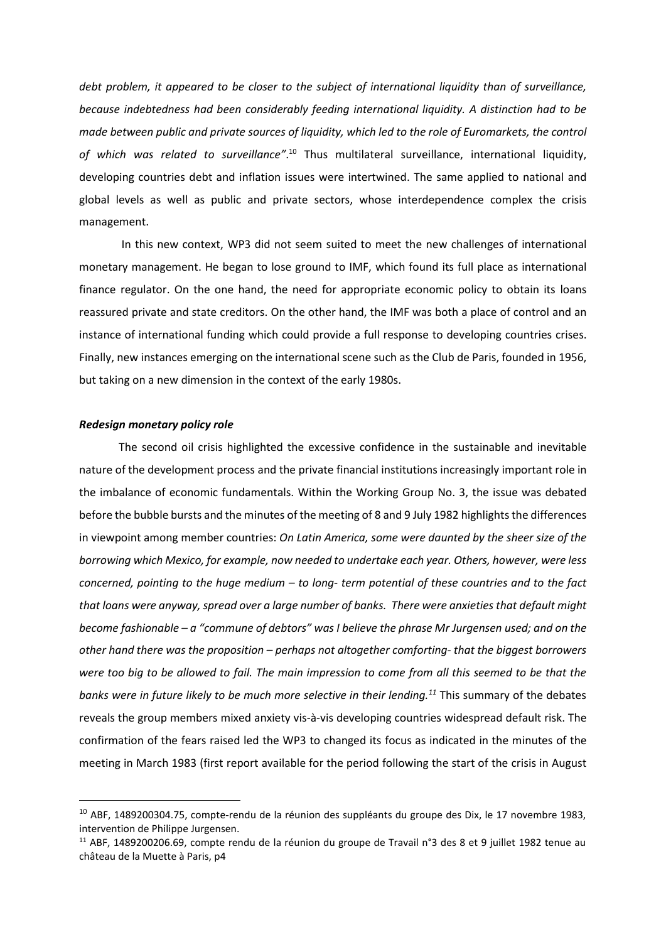*debt problem, it appeared to be closer to the subject of international liquidity than of surveillance, because indebtedness had been considerably feeding international liquidity. A distinction had to be made between public and private sources of liquidity, which led to the role of Euromarkets, the control*  of which was related to surveillance<sup>".10</sup> Thus multilateral surveillance, international liquidity, developing countries debt and inflation issues were intertwined. The same applied to national and global levels as well as public and private sectors, whose interdependence complex the crisis management.

In this new context, WP3 did not seem suited to meet the new challenges of international monetary management. He began to lose ground to IMF, which found its full place as international finance regulator. On the one hand, the need for appropriate economic policy to obtain its loans reassured private and state creditors. On the other hand, the IMF was both a place of control and an instance of international funding which could provide a full response to developing countries crises. Finally, new instances emerging on the international scene such as the Club de Paris, founded in 1956, but taking on a new dimension in the context of the early 1980s.

# *Redesign monetary policy role*

**.** 

The second oil crisis highlighted the excessive confidence in the sustainable and inevitable nature of the development process and the private financial institutions increasingly important role in the imbalance of economic fundamentals. Within the Working Group No. 3, the issue was debated before the bubble bursts and the minutes of the meeting of 8 and 9 July 1982 highlights the differences in viewpoint among member countries: *On Latin America, some were daunted by the sheer size of the borrowing which Mexico, for example, now needed to undertake each year. Others, however, were less concerned, pointing to the huge medium – to long- term potential of these countries and to the fact that loans were anyway, spread over a large number of banks. There were anxieties that default might become fashionable – a "commune of debtors" was I believe the phrase Mr Jurgensen used; and on the other hand there was the proposition – perhaps not altogether comforting- that the biggest borrowers were too big to be allowed to fail. The main impression to come from all this seemed to be that the banks were in future likely to be much more selective in their lending.<sup>11</sup>* This summary of the debates reveals the group members mixed anxiety vis-à-vis developing countries widespread default risk. The confirmation of the fears raised led the WP3 to changed its focus as indicated in the minutes of the meeting in March 1983 (first report available for the period following the start of the crisis in August

<sup>&</sup>lt;sup>10</sup> ABF, 1489200304.75, compte-rendu de la réunion des suppléants du groupe des Dix, le 17 novembre 1983, intervention de Philippe Jurgensen.

<sup>&</sup>lt;sup>11</sup> ABF, 1489200206.69, compte rendu de la réunion du groupe de Travail n°3 des 8 et 9 juillet 1982 tenue au château de la Muette à Paris, p4